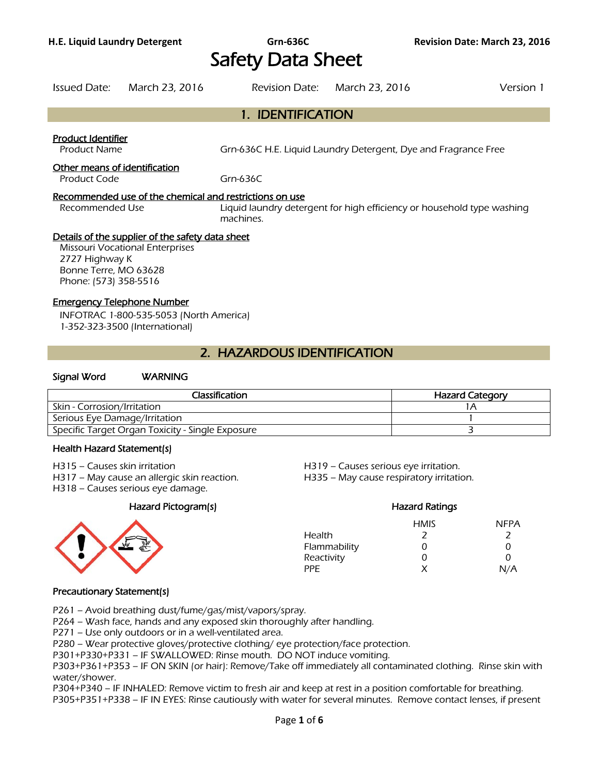# Safety Data Sheet

|                                                                  | Issued Date: March 23, 2016                                                                |                                                                                                                                                | Revision Date: March 23, 2016 | Version 1 |
|------------------------------------------------------------------|--------------------------------------------------------------------------------------------|------------------------------------------------------------------------------------------------------------------------------------------------|-------------------------------|-----------|
|                                                                  |                                                                                            | 1. IDENTIFICATION                                                                                                                              |                               |           |
| <b>Product Identifier</b><br><b>Product Name</b>                 |                                                                                            | Grn-636C H.E. Liquid Laundry Detergent, Dye and Fragrance Free                                                                                 |                               |           |
| Other means of identification<br>Product Code                    |                                                                                            | Grn-636 $C$                                                                                                                                    |                               |           |
| Recommended Use                                                  |                                                                                            | Recommended use of the chemical and restrictions on use<br>Liquid laundry detergent for high efficiency or household type washing<br>machines. |                               |           |
| 2727 Highway K<br>Bonne Terre, MO 63628<br>Phone: (573) 358-5516 | Details of the supplier of the safety data sheet<br><b>Missouri Vocational Enterprises</b> |                                                                                                                                                |                               |           |
| <b>Emergency Telephone Number</b>                                | INFOTRAC 1-800-535-5053 (North America)<br>1-352-323-3500 (International)                  |                                                                                                                                                |                               |           |

## 2. HAZARDOUS IDENTIFICATION

#### Signal Word WARNING

| Classification                                   | <b>Hazard Category</b> |
|--------------------------------------------------|------------------------|
| Skin - Corrosion/Irritation                      |                        |
| Serious Eye Damage/Irritation                    |                        |
| Specific Target Organ Toxicity - Single Exposure |                        |
|                                                  |                        |

#### Health Hazard Statement(s)

- 
- H317 May cause an allergic skin reaction. H335 May cause respiratory irritation.
- H318 Causes serious eye damage.

#### Hazard Pictogram(s) Hazard Ratings



## H315 – Causes skin irritation H319 – Causes serious eye irritation.

HMIS NFPA Health 2 2 2 Flammability 0 0 0 Reactivity 0 0 0 0 PPE  $X$   $N/A$ 

#### Precautionary Statement(s)

P261 – Avoid breathing dust/fume/gas/mist/vapors/spray.

P264 – Wash face, hands and any exposed skin thoroughly after handling.

P271 – Use only outdoors or in a well-ventilated area.

P280 – Wear protective gloves/protective clothing/ eye protection/face protection.

P301+P330+P331 – IF SWALLOWED: Rinse mouth. DO NOT induce vomiting.

P303+P361+P353 – IF ON SKIN (or hair): Remove/Take off immediately all contaminated clothing. Rinse skin with water/shower.

P304+P340 – IF INHALED: Remove victim to fresh air and keep at rest in a position comfortable for breathing.

P305+P351+P338 – IF IN EYES: Rinse cautiously with water for several minutes. Remove contact lenses, if present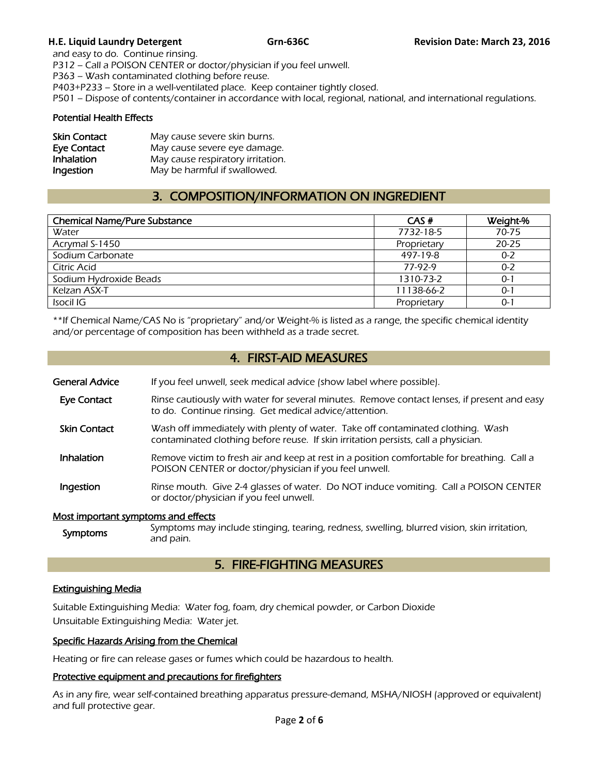and easy to do. Continue rinsing. P312 – Call a POISON CENTER or doctor/physician if you feel unwell. P363 – Wash contaminated clothing before reuse. P403+P233 – Store in a well-ventilated place. Keep container tightly closed. P501 – Dispose of contents/container in accordance with local, regional, national, and international regulations.

#### Potential Health Effects

| <b>Skin Contact</b> | May cause severe skin burns.      |
|---------------------|-----------------------------------|
| Eye Contact         | May cause severe eye damage.      |
| Inhalation          | May cause respiratory irritation. |
| Ingestion           | May be harmful if swallowed.      |

## 3. COMPOSITION/INFORMATION ON INGREDIENT

| <b>Chemical Name/Pure Substance</b> | CAS#        | Weight-%  |
|-------------------------------------|-------------|-----------|
| Water                               | 7732-18-5   | 70-75     |
| Acrymal S-1450                      | Proprietary | $20 - 25$ |
| Sodium Carbonate                    | 497-19-8    | $0 - 2$   |
| Citric Acid                         | 77-97-9     | $0 - 2$   |
| Sodium Hydroxide Beads              | 1310-73-2   | $0 - 1$   |
| Kelzan ASX-T                        | 11138-66-2  | $0 - 1$   |
| Isocil IG                           | Proprietary | $0 - 1$   |
|                                     |             |           |

\*\*If Chemical Name/CAS No is "proprietary" and/or Weight-% is listed as a range, the specific chemical identity and/or percentage of composition has been withheld as a trade secret.

## 4. FIRST-AID MEASURES

| General Advice | If you feel unwell, seek medical advice (show label where possible). |  |
|----------------|----------------------------------------------------------------------|--|
|                |                                                                      |  |

- Eye Contact Rinse cautiously with water for several minutes. Remove contact lenses, if present and easy to do. Continue rinsing. Get medical advice/attention.
- **Skin Contact** Wash off immediately with plenty of water. Take off contaminated clothing. Wash contaminated clothing before reuse. If skin irritation persists, call a physician.
- Inhalation Remove victim to fresh air and keep at rest in a position comfortable for breathing. Call a POISON CENTER or doctor/physician if you feel unwell.
- **Ingestion** Rinse mouth. Give 2-4 glasses of water. Do NOT induce vomiting. Call a POISON CENTER or doctor/physician if you feel unwell.

#### Most important symptoms and effects

Symptoms Symptoms may include stinging, tearing, redness, swelling, blurred vision, skin irritation, and pain.

## 5. FIRE-FIGHTING MEASURES

### Extinguishing Media

Suitable Extinguishing Media: Water fog, foam, dry chemical powder, or Carbon Dioxide Unsuitable Extinguishing Media: Water jet.

#### Specific Hazards Arising from the Chemical

Heating or fire can release gases or fumes which could be hazardous to health.

#### Protective equipment and precautions for firefighters

As in any fire, wear self-contained breathing apparatus pressure-demand, MSHA/NIOSH (approved or equivalent) and full protective gear.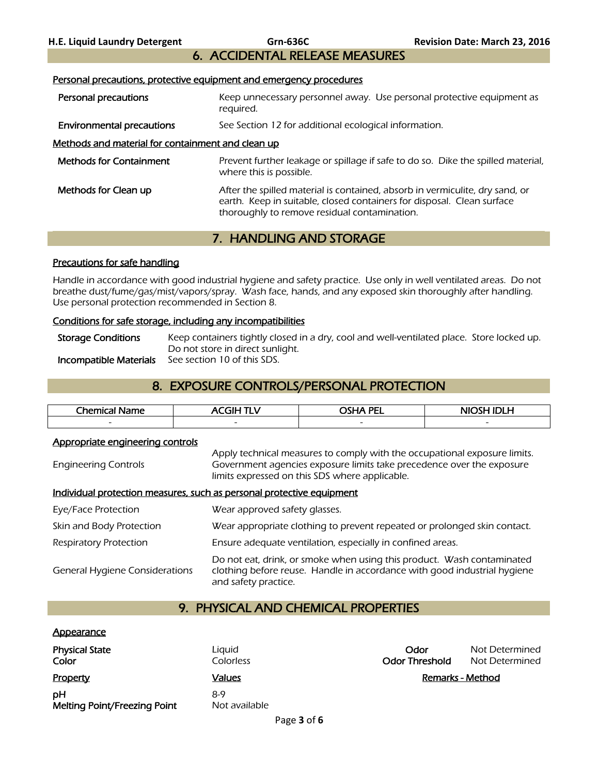## 6. ACCIDENTAL RELEASE MEASURES

## Personal precautions, protective equipment and emergency procedures Personal precautions **Keep unnecessary personnel away.** Use personal protective equipment as

|                                                   | reguired.                                                                                                                                                                                              |
|---------------------------------------------------|--------------------------------------------------------------------------------------------------------------------------------------------------------------------------------------------------------|
| <b>Environmental precautions</b>                  | See Section 12 for additional ecological information.                                                                                                                                                  |
| Methods and material for containment and clean up |                                                                                                                                                                                                        |
| <b>Methods for Containment</b>                    | Prevent further leakage or spillage if safe to do so. Dike the spilled material,<br>where this is possible.                                                                                            |
| Methods for Clean up                              | After the spilled material is contained, absorb in vermiculite, dry sand, or<br>earth. Keep in suitable, closed containers for disposal. Clean surface<br>thoroughly to remove residual contamination. |

## 7. HANDLING AND STORAGE

#### Precautions for safe handling

Handle in accordance with good industrial hygiene and safety practice. Use only in well ventilated areas. Do not breathe dust/fume/gas/mist/vapors/spray. Wash face, hands, and any exposed skin thoroughly after handling. Use personal protection recommended in Section 8.

#### Conditions for safe storage, including any incompatibilities

Storage Conditions Keep containers tightly closed in a dry, cool and well-ventilated place. Store locked up. Do not store in direct sunlight. Incompatible Materials See section 10 of this SDS.

## 8. EXPOSURE CONTROLS/PERSONAL PROTECTION

| Chemical.<br>eme<br>the contract of the contract of the | ____                     | <b>PEI</b><br>~~''*      | .<br>. .                 |
|---------------------------------------------------------|--------------------------|--------------------------|--------------------------|
| $\overline{\phantom{0}}$                                | $\overline{\phantom{0}}$ | $\overline{\phantom{0}}$ | $\overline{\phantom{0}}$ |
|                                                         |                          |                          |                          |

#### Appropriate engineering controls

Engineering Controls Apply technical measures to comply with the occupational exposure limits. Government agencies exposure limits take precedence over the exposure limits expressed on this SDS where applicable.

#### Individual protection measures, such as personal protective equipment

| Eye/Face Protection                   | Wear approved safety glasses.                                                                                                                                              |
|---------------------------------------|----------------------------------------------------------------------------------------------------------------------------------------------------------------------------|
| Skin and Body Protection              | Wear appropriate clothing to prevent repeated or prolonged skin contact.                                                                                                   |
| <b>Respiratory Protection</b>         | Ensure adequate ventilation, especially in confined areas.                                                                                                                 |
| <b>General Hygiene Considerations</b> | Do not eat, drink, or smoke when using this product. Wash contaminated<br>clothing before reuse. Handle in accordance with good industrial hygiene<br>and safety practice. |

## 9. PHYSICAL AND CHEMICAL PROPERTIES

#### **Appearance**

| <b>Physical State</b><br>Color            | Liguid<br>Colorless  | Odor<br><b>Odor Threshold</b> | Not Determined<br>Not Determined |
|-------------------------------------------|----------------------|-------------------------------|----------------------------------|
| <b>Property</b>                           | Values               |                               | <b>Remarks - Method</b>          |
| pН<br><b>Melting Point/Freezing Point</b> | 8-9<br>Not available |                               |                                  |

| Odor                  | Not Determined |
|-----------------------|----------------|
| <b>Odor Threshold</b> | Not Determined |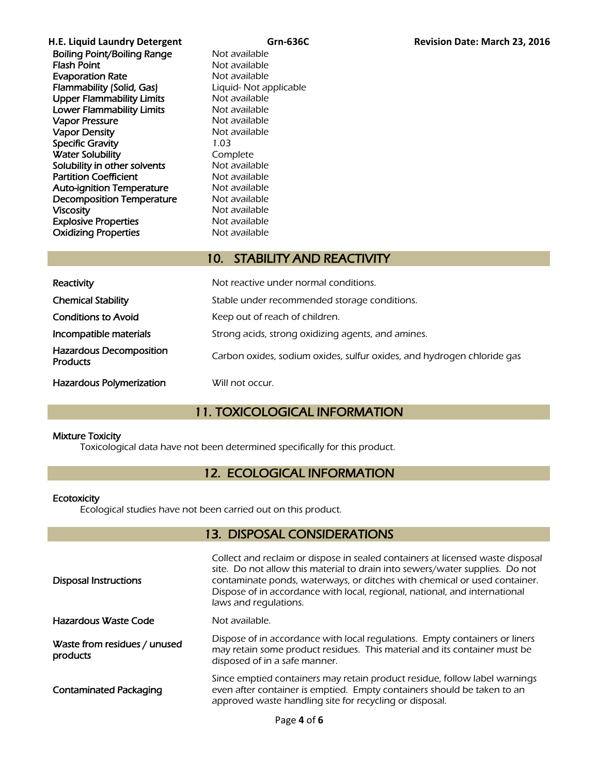**H.E. Liquid Laundry Detergent Grn-636C Revision Date: March 23, 2016**  Boiling Point/Boiling Range Not available **Flash Point** Not available Evaporation Rate<br>
Flammability (Solid, Gas) Eliquid-Not applicable Flammability (Solid, Gas) Upper Flammability Limits Not available Lower Flammability Limits Not available Vapor Pressure **Not available** Vapor Density Not available Specific Gravity 1.03 Water Solubility **Complete** Solubility in other solvents Not available **Partition Coefficient** Not available<br> **Auto-ignition Temperature** Not available Auto-ignition Temperature **Decomposition Temperature** Mot available<br> **Viscosity** Mot available Not available Explosive Properties Not available **Oxidizing Properties** Not available

## 10. STABILITY AND REACTIVITY

| Reactivity                                        | Not reactive under normal conditions.                                  |
|---------------------------------------------------|------------------------------------------------------------------------|
| <b>Chemical Stability</b>                         | Stable under recommended storage conditions.                           |
| <b>Conditions to Avoid</b>                        | Keep out of reach of children.                                         |
| Incompatible materials                            | Strong acids, strong oxidizing agents, and amines.                     |
| <b>Hazardous Decomposition</b><br><b>Products</b> | Carbon oxides, sodium oxides, sulfur oxides, and hydrogen chloride gas |
| <b>Hazardous Polymerization</b>                   | Will not occur.                                                        |

## 11. TOXICOLOGICAL INFORMATION

#### Mixture Toxicity

Toxicological data have not been determined specifically for this product.

## 12. ECOLOGICAL INFORMATION

#### **Ecotoxicity**

Ecological studies have not been carried out on this product.

## 13. DISPOSAL CONSIDERATIONS

| <b>Disposal Instructions</b>             | Collect and reclaim or dispose in sealed containers at licensed waste disposal<br>site. Do not allow this material to drain into sewers/water supplies. Do not<br>contaminate ponds, waterways, or ditches with chemical or used container.<br>Dispose of in accordance with local, regional, national, and international<br>laws and regulations. |
|------------------------------------------|----------------------------------------------------------------------------------------------------------------------------------------------------------------------------------------------------------------------------------------------------------------------------------------------------------------------------------------------------|
| Hazardous Waste Code                     | Not available.                                                                                                                                                                                                                                                                                                                                     |
| Waste from residues / unused<br>products | Dispose of in accordance with local regulations. Empty containers or liners<br>may retain some product residues. This material and its container must be<br>disposed of in a safe manner.                                                                                                                                                          |
| <b>Contaminated Packaging</b>            | Since emptied containers may retain product residue, follow label warnings<br>even after container is emptied. Empty containers should be taken to an<br>approved waste handling site for recycling or disposal.                                                                                                                                   |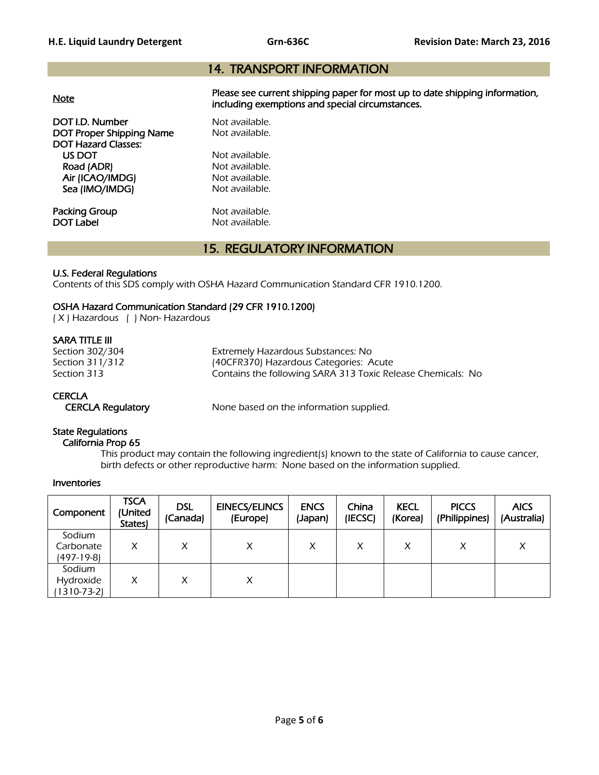## 14. TRANSPORT INFORMATION

| <b>Note</b>                                                                      | Please see current shipping paper for most up to date shipping information,<br>including exemptions and special circumstances. |
|----------------------------------------------------------------------------------|--------------------------------------------------------------------------------------------------------------------------------|
| DOT I.D. Number<br><b>DOT Proper Shipping Name</b><br><b>DOT Hazard Classes:</b> | Not available.<br>Not available.                                                                                               |
| US DOT                                                                           | Not available.                                                                                                                 |
| Road (ADR)                                                                       | Not available.                                                                                                                 |
| Air (ICAO/IMDG)                                                                  | Not available.                                                                                                                 |
| Sea (IMO/IMDG)                                                                   | Not available.                                                                                                                 |
| Packing Group                                                                    | Not available.                                                                                                                 |
| DOT Label                                                                        | Not available.                                                                                                                 |

## 15. REGULATORY INFORMATION

#### U.S. Federal Regulations

Contents of this SDS comply with OSHA Hazard Communication Standard CFR 1910.1200.

#### OSHA Hazard Communication Standard (29 CFR 1910.1200)

( X ) Hazardous ( ) Non- Hazardous

#### SARA TITLE III

Section 302/304 Extremely Hazardous Substances: No Section 311/312 (40CFR370) Hazardous Categories: Acute<br>Section 313 (Section 313) Section 313 Contains the following SARA 313 Toxic Release Chemicals: No

#### **CERCLA**

CERCLA Regulatory None based on the information supplied.

#### State Regulations

California Prop 65

 This product may contain the following ingredient(s) known to the state of California to cause cancer, birth defects or other reproductive harm: None based on the information supplied.

#### Inventories

| Component                                | <b>TSCA</b><br>(United<br><b>States</b> | <b>DSL</b><br>(Canada) | <b>EINECS/ELINCS</b><br>(Europe) | <b>ENCS</b><br>(Japan) | China<br>(IECSC) | <b>KECL</b><br>(Korea) | <b>PICCS</b><br>(Philippines) | <b>AICS</b><br>(Australia) |
|------------------------------------------|-----------------------------------------|------------------------|----------------------------------|------------------------|------------------|------------------------|-------------------------------|----------------------------|
| Sodium<br>Carbonate<br>(497-19-8)        | X                                       | Χ                      | X                                |                        | x                | X                      | X                             | Χ                          |
| Sodium<br>Hydroxide<br>$(1310 - 73 - 2)$ | X                                       | Χ                      | X                                |                        |                  |                        |                               |                            |